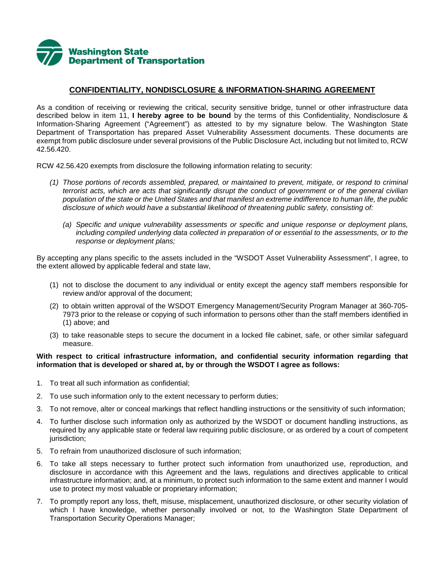

## **CONFIDENTIALITY, NONDISCLOSURE & INFORMATION-SHARING AGREEMENT**

As a condition of receiving or reviewing the critical, security sensitive bridge, tunnel or other infrastructure data described below in item 11, **I hereby agree to be bound** by the terms of this Confidentiality, Nondisclosure & Information-Sharing Agreement ("Agreement") as attested to by my signature below. The Washington State Department of Transportation has prepared Asset Vulnerability Assessment documents. These documents are exempt from public disclosure under several provisions of the Public Disclosure Act, including but not limited to, RCW 42.56.420.

RCW 42.56.420 exempts from disclosure the following information relating to security:

- *(1) Those portions of records assembled, prepared, or maintained to prevent, mitigate, or respond to criminal terrorist acts, which are acts that significantly disrupt the conduct of government or of the general civilian population of the state or the United States and that manifest an extreme indifference to human life, the public disclosure of which would have a substantial likelihood of threatening public safety, consisting of:*
	- *(a) Specific and unique vulnerability assessments or specific and unique response or deployment plans, including compiled underlying data collected in preparation of or essential to the assessments, or to the response or deployment plans;*

By accepting any plans specific to the assets included in the "WSDOT Asset Vulnerability Assessment", I agree, to the extent allowed by applicable federal and state law,

- (1) not to disclose the document to any individual or entity except the agency staff members responsible for review and/or approval of the document;
- (2) to obtain written approval of the WSDOT Emergency Management/Security Program Manager at 360-705- 7973 prior to the release or copying of such information to persons other than the staff members identified in (1) above; and
- (3) to take reasonable steps to secure the document in a locked file cabinet, safe, or other similar safeguard measure.

## **With respect to critical infrastructure information, and confidential security information regarding that information that is developed or shared at, by or through the WSDOT I agree as follows:**

- 1. To treat all such information as confidential;
- 2. To use such information only to the extent necessary to perform duties;
- 3. To not remove, alter or conceal markings that reflect handling instructions or the sensitivity of such information;
- 4. To further disclose such information only as authorized by the WSDOT or document handling instructions, as required by any applicable state or federal law requiring public disclosure, or as ordered by a court of competent jurisdiction;
- 5. To refrain from unauthorized disclosure of such information;
- 6. To take all steps necessary to further protect such information from unauthorized use, reproduction, and disclosure in accordance with this Agreement and the laws, regulations and directives applicable to critical infrastructure information; and, at a minimum, to protect such information to the same extent and manner I would use to protect my most valuable or proprietary information;
- 7. To promptly report any loss, theft, misuse, misplacement, unauthorized disclosure, or other security violation of which I have knowledge, whether personally involved or not, to the Washington State Department of Transportation Security Operations Manager;